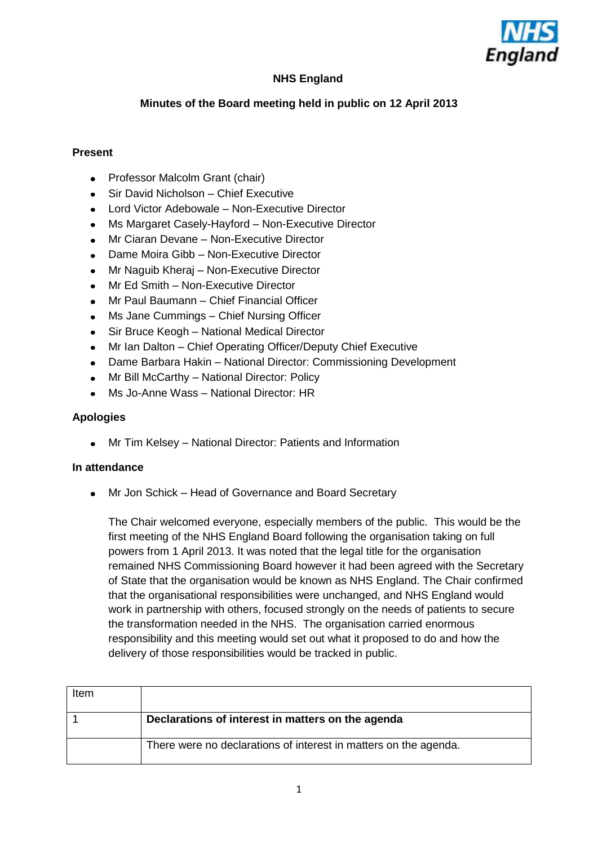

# **NHS England**

## **Minutes of the Board meeting held in public on 12 April 2013**

### **Present**

- Professor Malcolm Grant (chair)  $\bullet$
- Sir David Nicholson Chief Executive  $\bullet$
- Lord Victor Adebowale Non-Executive Director  $\bullet$
- Ms Margaret Casely-Hayford Non-Executive Director  $\bullet$
- Mr Ciaran Devane Non-Executive Director  $\bullet$
- Dame Moira Gibb Non-Executive Director  $\bullet$
- Mr Naguib Kheraj Non-Executive Director
- Mr Ed Smith Non-Executive Director  $\bullet$
- Mr Paul Baumann Chief Financial Officer  $\bullet$
- Ms Jane Cummings Chief Nursing Officer  $\bullet$
- Sir Bruce Keogh National Medical Director  $\bullet$
- Mr Ian Dalton Chief Operating Officer/Deputy Chief Executive  $\bullet$
- Dame Barbara Hakin National Director: Commissioning Development  $\bullet$
- Mr Bill McCarthy National Director: Policy  $\bullet$
- Ms Jo-Anne Wass National Director: HR  $\bullet$

### **Apologies**

Mr Tim Kelsey – National Director: Patients and Information

#### **In attendance**

Mr Jon Schick – Head of Governance and Board Secretary

The Chair welcomed everyone, especially members of the public. This would be the first meeting of the NHS England Board following the organisation taking on full powers from 1 April 2013. It was noted that the legal title for the organisation remained NHS Commissioning Board however it had been agreed with the Secretary of State that the organisation would be known as NHS England. The Chair confirmed that the organisational responsibilities were unchanged, and NHS England would work in partnership with others, focused strongly on the needs of patients to secure the transformation needed in the NHS. The organisation carried enormous responsibility and this meeting would set out what it proposed to do and how the delivery of those responsibilities would be tracked in public.

| Item |                                                                  |
|------|------------------------------------------------------------------|
|      | Declarations of interest in matters on the agenda                |
|      | There were no declarations of interest in matters on the agenda. |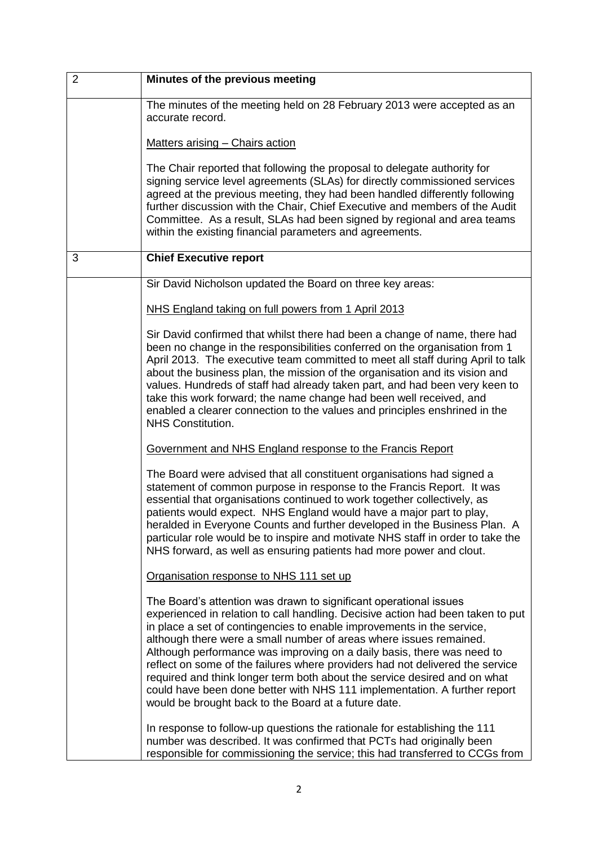| $\overline{2}$ | Minutes of the previous meeting                                                                                                                                                                                                                                                                                                                                                                                                                                                                                                                                                                                                                                                   |
|----------------|-----------------------------------------------------------------------------------------------------------------------------------------------------------------------------------------------------------------------------------------------------------------------------------------------------------------------------------------------------------------------------------------------------------------------------------------------------------------------------------------------------------------------------------------------------------------------------------------------------------------------------------------------------------------------------------|
|                | The minutes of the meeting held on 28 February 2013 were accepted as an<br>accurate record.                                                                                                                                                                                                                                                                                                                                                                                                                                                                                                                                                                                       |
|                | Matters arising - Chairs action                                                                                                                                                                                                                                                                                                                                                                                                                                                                                                                                                                                                                                                   |
|                | The Chair reported that following the proposal to delegate authority for<br>signing service level agreements (SLAs) for directly commissioned services<br>agreed at the previous meeting, they had been handled differently following<br>further discussion with the Chair, Chief Executive and members of the Audit<br>Committee. As a result, SLAs had been signed by regional and area teams<br>within the existing financial parameters and agreements.                                                                                                                                                                                                                       |
| 3              | <b>Chief Executive report</b>                                                                                                                                                                                                                                                                                                                                                                                                                                                                                                                                                                                                                                                     |
|                | Sir David Nicholson updated the Board on three key areas:                                                                                                                                                                                                                                                                                                                                                                                                                                                                                                                                                                                                                         |
|                | NHS England taking on full powers from 1 April 2013                                                                                                                                                                                                                                                                                                                                                                                                                                                                                                                                                                                                                               |
|                | Sir David confirmed that whilst there had been a change of name, there had<br>been no change in the responsibilities conferred on the organisation from 1<br>April 2013. The executive team committed to meet all staff during April to talk<br>about the business plan, the mission of the organisation and its vision and<br>values. Hundreds of staff had already taken part, and had been very keen to<br>take this work forward; the name change had been well received, and<br>enabled a clearer connection to the values and principles enshrined in the<br><b>NHS Constitution.</b>                                                                                       |
|                | Government and NHS England response to the Francis Report                                                                                                                                                                                                                                                                                                                                                                                                                                                                                                                                                                                                                         |
|                | The Board were advised that all constituent organisations had signed a<br>statement of common purpose in response to the Francis Report. It was<br>essential that organisations continued to work together collectively, as<br>patients would expect. NHS England would have a major part to play,<br>heralded in Everyone Counts and further developed in the Business Plan. A<br>particular role would be to inspire and motivate NHS staff in order to take the<br>NHS forward, as well as ensuring patients had more power and clout.                                                                                                                                         |
|                | Organisation response to NHS 111 set up                                                                                                                                                                                                                                                                                                                                                                                                                                                                                                                                                                                                                                           |
|                | The Board's attention was drawn to significant operational issues<br>experienced in relation to call handling. Decisive action had been taken to put<br>in place a set of contingencies to enable improvements in the service,<br>although there were a small number of areas where issues remained.<br>Although performance was improving on a daily basis, there was need to<br>reflect on some of the failures where providers had not delivered the service<br>required and think longer term both about the service desired and on what<br>could have been done better with NHS 111 implementation. A further report<br>would be brought back to the Board at a future date. |
|                | In response to follow-up questions the rationale for establishing the 111<br>number was described. It was confirmed that PCTs had originally been<br>responsible for commissioning the service; this had transferred to CCGs from                                                                                                                                                                                                                                                                                                                                                                                                                                                 |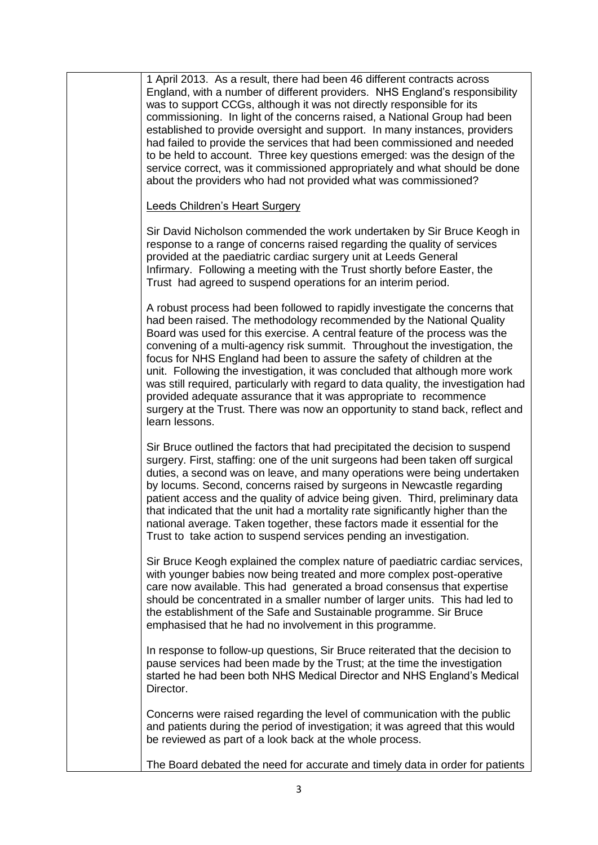| 1 April 2013. As a result, there had been 46 different contracts across<br>England, with a number of different providers. NHS England's responsibility<br>was to support CCGs, although it was not directly responsible for its<br>commissioning. In light of the concerns raised, a National Group had been<br>established to provide oversight and support. In many instances, providers<br>had failed to provide the services that had been commissioned and needed<br>to be held to account. Three key questions emerged: was the design of the<br>service correct, was it commissioned appropriately and what should be done<br>about the providers who had not provided what was commissioned?                                    |
|-----------------------------------------------------------------------------------------------------------------------------------------------------------------------------------------------------------------------------------------------------------------------------------------------------------------------------------------------------------------------------------------------------------------------------------------------------------------------------------------------------------------------------------------------------------------------------------------------------------------------------------------------------------------------------------------------------------------------------------------|
| <b>Leeds Children's Heart Surgery</b>                                                                                                                                                                                                                                                                                                                                                                                                                                                                                                                                                                                                                                                                                                   |
| Sir David Nicholson commended the work undertaken by Sir Bruce Keogh in<br>response to a range of concerns raised regarding the quality of services<br>provided at the paediatric cardiac surgery unit at Leeds General<br>Infirmary. Following a meeting with the Trust shortly before Easter, the<br>Trust had agreed to suspend operations for an interim period.                                                                                                                                                                                                                                                                                                                                                                    |
| A robust process had been followed to rapidly investigate the concerns that<br>had been raised. The methodology recommended by the National Quality<br>Board was used for this exercise. A central feature of the process was the<br>convening of a multi-agency risk summit. Throughout the investigation, the<br>focus for NHS England had been to assure the safety of children at the<br>unit. Following the investigation, it was concluded that although more work<br>was still required, particularly with regard to data quality, the investigation had<br>provided adequate assurance that it was appropriate to recommence<br>surgery at the Trust. There was now an opportunity to stand back, reflect and<br>learn lessons. |
| Sir Bruce outlined the factors that had precipitated the decision to suspend<br>surgery. First, staffing: one of the unit surgeons had been taken off surgical<br>duties, a second was on leave, and many operations were being undertaken<br>by locums. Second, concerns raised by surgeons in Newcastle regarding<br>patient access and the quality of advice being given. Third, preliminary data<br>that indicated that the unit had a mortality rate significantly higher than the<br>national average. Taken together, these factors made it essential for the<br>Trust to take action to suspend services pending an investigation.                                                                                              |
| Sir Bruce Keogh explained the complex nature of paediatric cardiac services,<br>with younger babies now being treated and more complex post-operative<br>care now available. This had generated a broad consensus that expertise<br>should be concentrated in a smaller number of larger units. This had led to<br>the establishment of the Safe and Sustainable programme. Sir Bruce<br>emphasised that he had no involvement in this programme.                                                                                                                                                                                                                                                                                       |
| In response to follow-up questions, Sir Bruce reiterated that the decision to<br>pause services had been made by the Trust; at the time the investigation<br>started he had been both NHS Medical Director and NHS England's Medical<br>Director.                                                                                                                                                                                                                                                                                                                                                                                                                                                                                       |
| Concerns were raised regarding the level of communication with the public<br>and patients during the period of investigation; it was agreed that this would<br>be reviewed as part of a look back at the whole process.                                                                                                                                                                                                                                                                                                                                                                                                                                                                                                                 |
| The Board debated the need for accurate and timely data in order for patients                                                                                                                                                                                                                                                                                                                                                                                                                                                                                                                                                                                                                                                           |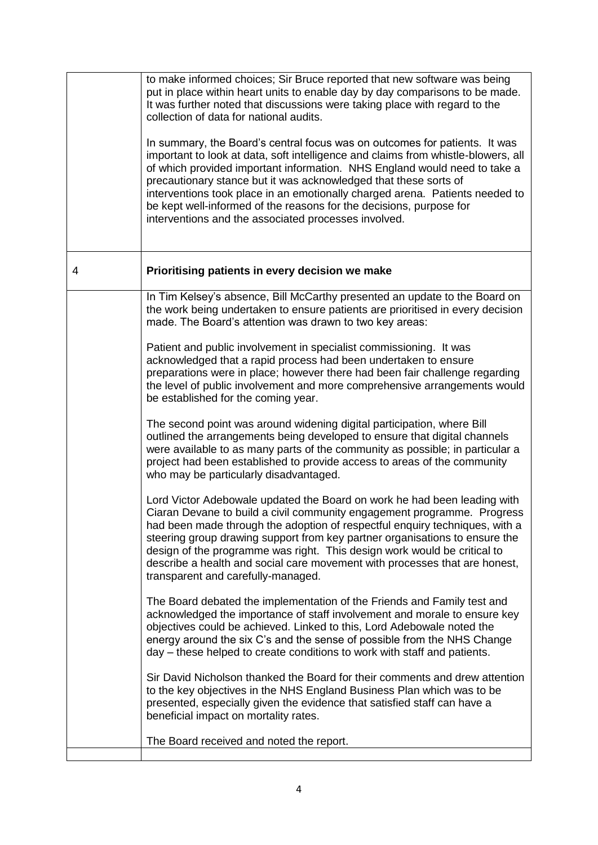|   | to make informed choices; Sir Bruce reported that new software was being<br>put in place within heart units to enable day by day comparisons to be made.<br>It was further noted that discussions were taking place with regard to the<br>collection of data for national audits.<br>In summary, the Board's central focus was on outcomes for patients. It was<br>important to look at data, soft intelligence and claims from whistle-blowers, all<br>of which provided important information. NHS England would need to take a<br>precautionary stance but it was acknowledged that these sorts of<br>interventions took place in an emotionally charged arena. Patients needed to<br>be kept well-informed of the reasons for the decisions, purpose for<br>interventions and the associated processes involved. |
|---|----------------------------------------------------------------------------------------------------------------------------------------------------------------------------------------------------------------------------------------------------------------------------------------------------------------------------------------------------------------------------------------------------------------------------------------------------------------------------------------------------------------------------------------------------------------------------------------------------------------------------------------------------------------------------------------------------------------------------------------------------------------------------------------------------------------------|
| 4 | Prioritising patients in every decision we make                                                                                                                                                                                                                                                                                                                                                                                                                                                                                                                                                                                                                                                                                                                                                                      |
|   | In Tim Kelsey's absence, Bill McCarthy presented an update to the Board on<br>the work being undertaken to ensure patients are prioritised in every decision<br>made. The Board's attention was drawn to two key areas:                                                                                                                                                                                                                                                                                                                                                                                                                                                                                                                                                                                              |
|   | Patient and public involvement in specialist commissioning. It was<br>acknowledged that a rapid process had been undertaken to ensure<br>preparations were in place; however there had been fair challenge regarding<br>the level of public involvement and more comprehensive arrangements would<br>be established for the coming year.                                                                                                                                                                                                                                                                                                                                                                                                                                                                             |
|   | The second point was around widening digital participation, where Bill<br>outlined the arrangements being developed to ensure that digital channels<br>were available to as many parts of the community as possible; in particular a<br>project had been established to provide access to areas of the community<br>who may be particularly disadvantaged.                                                                                                                                                                                                                                                                                                                                                                                                                                                           |
|   | Lord Victor Adebowale updated the Board on work he had been leading with<br>Ciaran Devane to build a civil community engagement programme. Progress<br>had been made through the adoption of respectful enquiry techniques, with a<br>steering group drawing support from key partner organisations to ensure the<br>design of the programme was right. This design work would be critical to<br>describe a health and social care movement with processes that are honest,<br>transparent and carefully-managed.                                                                                                                                                                                                                                                                                                    |
|   | The Board debated the implementation of the Friends and Family test and<br>acknowledged the importance of staff involvement and morale to ensure key<br>objectives could be achieved. Linked to this, Lord Adebowale noted the<br>energy around the six C's and the sense of possible from the NHS Change<br>day – these helped to create conditions to work with staff and patients.                                                                                                                                                                                                                                                                                                                                                                                                                                |
|   | Sir David Nicholson thanked the Board for their comments and drew attention<br>to the key objectives in the NHS England Business Plan which was to be<br>presented, especially given the evidence that satisfied staff can have a<br>beneficial impact on mortality rates.                                                                                                                                                                                                                                                                                                                                                                                                                                                                                                                                           |
|   | The Board received and noted the report.                                                                                                                                                                                                                                                                                                                                                                                                                                                                                                                                                                                                                                                                                                                                                                             |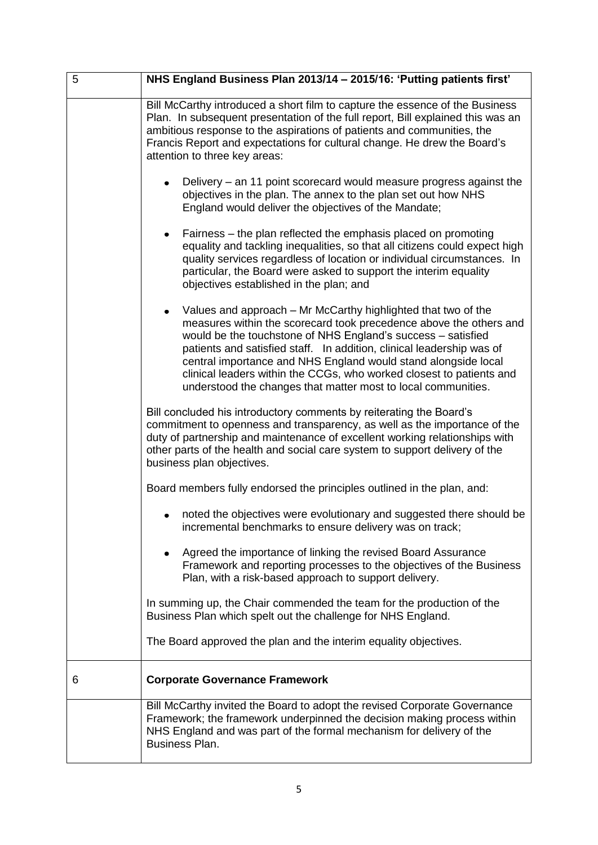| 5 | NHS England Business Plan 2013/14 - 2015/16: 'Putting patients first'                                                                                                                                                                                                                                                                                                                                                                                                                                |
|---|------------------------------------------------------------------------------------------------------------------------------------------------------------------------------------------------------------------------------------------------------------------------------------------------------------------------------------------------------------------------------------------------------------------------------------------------------------------------------------------------------|
|   | Bill McCarthy introduced a short film to capture the essence of the Business<br>Plan. In subsequent presentation of the full report, Bill explained this was an<br>ambitious response to the aspirations of patients and communities, the<br>Francis Report and expectations for cultural change. He drew the Board's<br>attention to three key areas:                                                                                                                                               |
|   | Delivery – an 11 point scorecard would measure progress against the<br>objectives in the plan. The annex to the plan set out how NHS<br>England would deliver the objectives of the Mandate;                                                                                                                                                                                                                                                                                                         |
|   | Fairness – the plan reflected the emphasis placed on promoting<br>$\bullet$<br>equality and tackling inequalities, so that all citizens could expect high<br>quality services regardless of location or individual circumstances. In<br>particular, the Board were asked to support the interim equality<br>objectives established in the plan; and                                                                                                                                                  |
|   | Values and approach – Mr McCarthy highlighted that two of the<br>$\bullet$<br>measures within the scorecard took precedence above the others and<br>would be the touchstone of NHS England's success - satisfied<br>patients and satisfied staff. In addition, clinical leadership was of<br>central importance and NHS England would stand alongside local<br>clinical leaders within the CCGs, who worked closest to patients and<br>understood the changes that matter most to local communities. |
|   | Bill concluded his introductory comments by reiterating the Board's<br>commitment to openness and transparency, as well as the importance of the<br>duty of partnership and maintenance of excellent working relationships with<br>other parts of the health and social care system to support delivery of the<br>business plan objectives.                                                                                                                                                          |
|   | Board members fully endorsed the principles outlined in the plan, and:                                                                                                                                                                                                                                                                                                                                                                                                                               |
|   | noted the objectives were evolutionary and suggested there should be<br>incremental benchmarks to ensure delivery was on track;                                                                                                                                                                                                                                                                                                                                                                      |
|   | Agreed the importance of linking the revised Board Assurance<br>Framework and reporting processes to the objectives of the Business<br>Plan, with a risk-based approach to support delivery.                                                                                                                                                                                                                                                                                                         |
|   | In summing up, the Chair commended the team for the production of the<br>Business Plan which spelt out the challenge for NHS England.                                                                                                                                                                                                                                                                                                                                                                |
|   | The Board approved the plan and the interim equality objectives.                                                                                                                                                                                                                                                                                                                                                                                                                                     |
| 6 | <b>Corporate Governance Framework</b>                                                                                                                                                                                                                                                                                                                                                                                                                                                                |
|   | Bill McCarthy invited the Board to adopt the revised Corporate Governance<br>Framework; the framework underpinned the decision making process within<br>NHS England and was part of the formal mechanism for delivery of the<br><b>Business Plan.</b>                                                                                                                                                                                                                                                |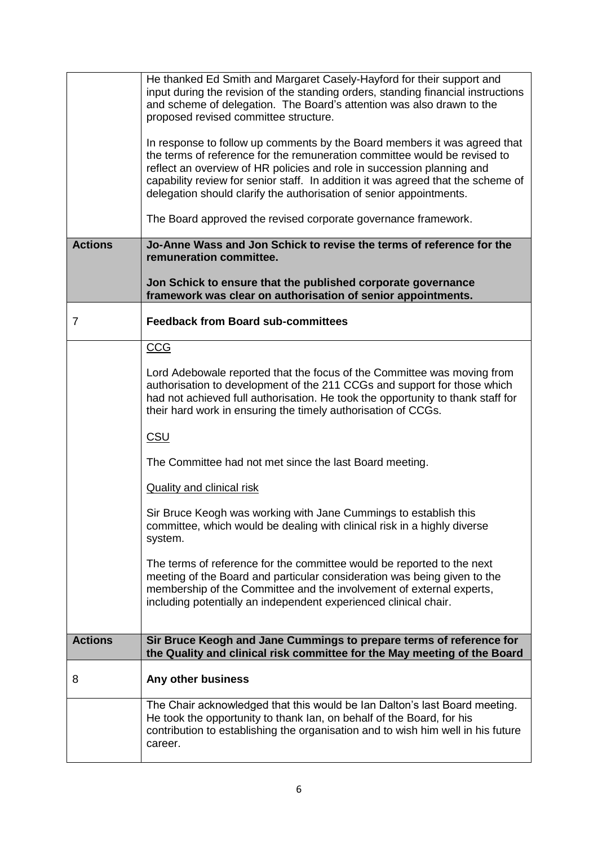|                | He thanked Ed Smith and Margaret Casely-Hayford for their support and<br>input during the revision of the standing orders, standing financial instructions<br>and scheme of delegation. The Board's attention was also drawn to the<br>proposed revised committee structure.                                                                                                                |
|----------------|---------------------------------------------------------------------------------------------------------------------------------------------------------------------------------------------------------------------------------------------------------------------------------------------------------------------------------------------------------------------------------------------|
|                | In response to follow up comments by the Board members it was agreed that<br>the terms of reference for the remuneration committee would be revised to<br>reflect an overview of HR policies and role in succession planning and<br>capability review for senior staff. In addition it was agreed that the scheme of<br>delegation should clarify the authorisation of senior appointments. |
|                | The Board approved the revised corporate governance framework.                                                                                                                                                                                                                                                                                                                              |
| <b>Actions</b> | Jo-Anne Wass and Jon Schick to revise the terms of reference for the<br>remuneration committee.                                                                                                                                                                                                                                                                                             |
|                | Jon Schick to ensure that the published corporate governance<br>framework was clear on authorisation of senior appointments.                                                                                                                                                                                                                                                                |
| 7              | <b>Feedback from Board sub-committees</b>                                                                                                                                                                                                                                                                                                                                                   |
|                | <b>CCG</b>                                                                                                                                                                                                                                                                                                                                                                                  |
|                | Lord Adebowale reported that the focus of the Committee was moving from<br>authorisation to development of the 211 CCGs and support for those which<br>had not achieved full authorisation. He took the opportunity to thank staff for<br>their hard work in ensuring the timely authorisation of CCGs.                                                                                     |
|                | <b>CSU</b>                                                                                                                                                                                                                                                                                                                                                                                  |
|                | The Committee had not met since the last Board meeting.                                                                                                                                                                                                                                                                                                                                     |
|                | <b>Quality and clinical risk</b>                                                                                                                                                                                                                                                                                                                                                            |
|                | Sir Bruce Keogh was working with Jane Cummings to establish this<br>committee, which would be dealing with clinical risk in a highly diverse<br>system.                                                                                                                                                                                                                                     |
|                | The terms of reference for the committee would be reported to the next<br>meeting of the Board and particular consideration was being given to the<br>membership of the Committee and the involvement of external experts,<br>including potentially an independent experienced clinical chair.                                                                                              |
| <b>Actions</b> | Sir Bruce Keogh and Jane Cummings to prepare terms of reference for<br>the Quality and clinical risk committee for the May meeting of the Board                                                                                                                                                                                                                                             |
| 8              | Any other business                                                                                                                                                                                                                                                                                                                                                                          |
|                | The Chair acknowledged that this would be Ian Dalton's last Board meeting.<br>He took the opportunity to thank Ian, on behalf of the Board, for his<br>contribution to establishing the organisation and to wish him well in his future<br>career.                                                                                                                                          |